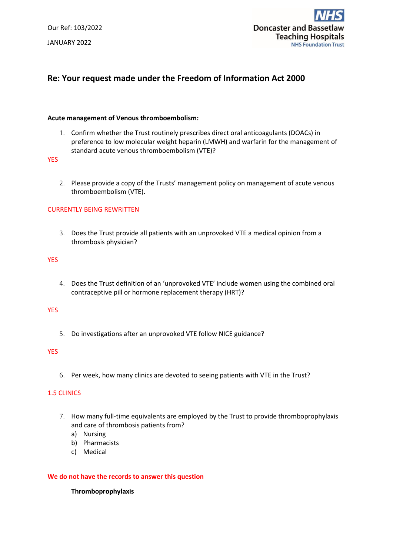Our Ref: 103/2022 JANUARY 2022



# **Re: Your request made under the Freedom of Information Act 2000**

### **Acute management of Venous thromboembolism:**

1. Confirm whether the Trust routinely prescribes direct oral anticoagulants (DOACs) in preference to low molecular weight heparin (LMWH) and warfarin for the management of standard acute venous thromboembolism (VTE)?

**YES** 

2. Please provide a copy of the Trusts' management policy on management of acute venous thromboembolism (VTE).

### CURRENTLY BEING REWRITTEN

3. Does the Trust provide all patients with an unprovoked VTE a medical opinion from a thrombosis physician?

#### YES

4. Does the Trust definition of an 'unprovoked VTE' include women using the combined oral contraceptive pill or hormone replacement therapy (HRT)?

### **YES**

5. Do investigations after an unprovoked VTE follow NICE guidance?

### **YES**

6. Per week, how many clinics are devoted to seeing patients with VTE in the Trust?

### 1.5 CLINICS

- 7. How many full-time equivalents are employed by the Trust to provide thromboprophylaxis and care of thrombosis patients from?
	- a) Nursing
	- b) Pharmacists
	- c) Medical

#### **We do not have the records to answer this question**

#### **Thromboprophylaxis**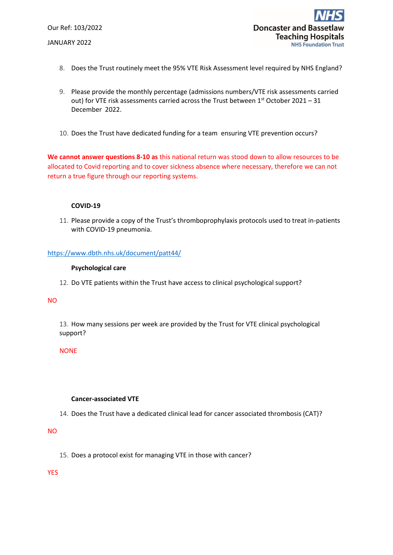Our Ref: 103/2022 JANUARY 2022

- 8. Does the Trust routinely meet the 95% VTE Risk Assessment level required by NHS England?
- 9. Please provide the monthly percentage (admissions numbers/VTE risk assessments carried out) for VTE risk assessments carried across the Trust between  $1<sup>st</sup>$  October 2021 – 31 December 2022.
- 10. Does the Trust have dedicated funding for a team ensuring VTE prevention occurs?

**We cannot answer questions 8-10 as** this national return was stood down to allow resources to be allocated to Covid reporting and to cover sickness absence where necessary, therefore we can not return a true figure through our reporting systems.

# **COVID-19**

11. Please provide a copy of the Trust's thromboprophylaxis protocols used to treat in-patients with COVID-19 pneumonia.

# <https://www.dbth.nhs.uk/document/patt44/>

### **Psychological care**

12. Do VTE patients within the Trust have access to clinical psychological support?

### NO

13. How many sessions per week are provided by the Trust for VTE clinical psychological support?

### NONE

### **Cancer-associated VTE**

14. Does the Trust have a dedicated clinical lead for cancer associated thrombosis (CAT)?

### NO

15. Does a protocol exist for managing VTE in those with cancer?

YES